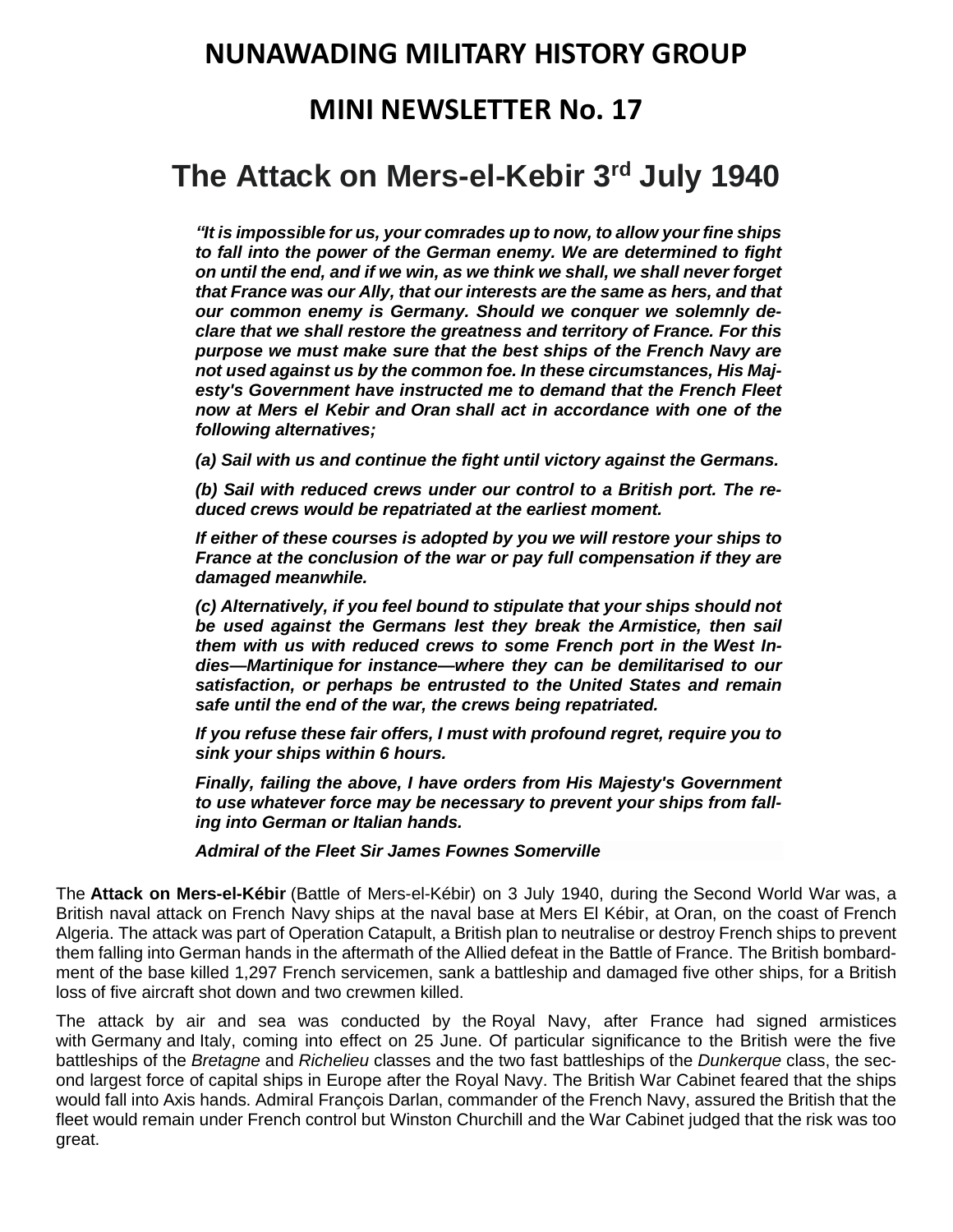### **NUNAWADING MILITARY HISTORY GROUP**

## **MINI NEWSLETTER No. 17**

## **The Attack on Mers-el-Kebir 3 rd July 1940**

*"It is impossible for us, your comrades up to now, to allow your fine ships to fall into the power of the German enemy. We are determined to fight on until the end, and if we win, as we think we shall, we shall never forget that France was our Ally, that our interests are the same as hers, and that our common enemy is Germany. Should we conquer we solemnly declare that we shall restore the greatness and territory of France. For this purpose we must make sure that the best ships of the French Navy are not used against us by the common foe. In these circumstances, His Majesty's Government have instructed me to demand that the French Fleet now at Mers el Kebir and [Oran](https://en.wikipedia.org/wiki/Oran) shall act in accordance with one of the following alternatives;*

*(a) Sail with us and continue the fight until victory against the Germans.*

*(b) Sail with reduced crews under our control to a British port. The reduced crews would be repatriated at the earliest moment.*

*If either of these courses is adopted by you we will restore your ships to France at the conclusion of the war or pay full compensation if they are damaged meanwhile.*

*(c) Alternatively, if you feel bound to stipulate that your ships should not be used against the Germans lest they break the [Armistice,](https://en.wikipedia.org/wiki/Armistice_with_France_(Second_Compi%C3%A8gne)) then sail them with us with reduced crews to some French port in the [West In](https://en.wikipedia.org/wiki/West_Indies)[dies](https://en.wikipedia.org/wiki/West_Indies)[—Martinique](https://en.wikipedia.org/wiki/Martinique) for instance—where they can be demilitarised to our satisfaction, or perhaps be entrusted to the United States and remain safe until the end of the war, the crews being repatriated.*

*If you refuse these fair offers, I must with profound regret, require you to sink your ships within 6 hours.*

*Finally, failing the above, I have orders from His Majesty's Government to use whatever force may be necessary to prevent your ships from falling into German or Italian hands.*

*[Admiral of the Fleet](https://en.wikipedia.org/wiki/Admiral_of_the_Fleet_(Royal_Navy)) Sir James Fownes Somerville*

The **Attack on Mers-el-Kébir** (Battle of Mers-el-Kébir) on 3 July 1940, during the [Second World War](https://en.wikipedia.org/wiki/Second_World_War) was, a British naval attack on [French Navy](https://en.wikipedia.org/wiki/French_Navy) ships at the naval base at [Mers El Kébir,](https://en.wikipedia.org/wiki/Mers_El_K%C3%A9bir) at [Oran,](https://en.wikipedia.org/wiki/Oran) on the coast of [French](https://en.wikipedia.org/wiki/French_rule_in_Algeria)  [Algeria.](https://en.wikipedia.org/wiki/French_rule_in_Algeria) The attack was part of Operation Catapult, a British plan to neutralise or destroy French ships to prevent them falling into German hands in the aftermath of the Allied defeat in the [Battle of France.](https://en.wikipedia.org/wiki/Battle_of_France) The British bombardment of the base killed 1,297 French servicemen, sank a [battleship](https://en.wikipedia.org/wiki/Battleship) and damaged five other ships, for a British loss of five aircraft shot down and two crewmen killed.

The attack by air and sea was conducted by the [Royal Navy,](https://en.wikipedia.org/wiki/Royal_Navy) after France had signed armistices with [Germany](https://en.wikipedia.org/wiki/Nazi_Germany) and [Italy,](https://en.wikipedia.org/wiki/Kingdom_of_Italy) coming into effect on 25 June. Of particular significance to the British were the five battleships of the *[Bretagne](https://en.wikipedia.org/wiki/French_battleship_Bretagne)* and *[Richelieu](https://en.wikipedia.org/wiki/French_battleship_Richelieu)* classes and the two [fast battleships](https://en.wikipedia.org/wiki/Fast_battleship) of the *[Dunkerque](https://en.wikipedia.org/wiki/French_battleship_Dunkerque)* class, the second largest force of [capital ships](https://en.wikipedia.org/wiki/Capital_ships) in Europe after the Royal Navy. The British [War Cabinet](https://en.wikipedia.org/wiki/Churchill_war_ministry) feared that the ships would fall into Axis hands. Admiral [François Darlan,](https://en.wikipedia.org/wiki/Fran%C3%A7ois_Darlan) commander of the French Navy, assured the British that the fleet would remain under French control but [Winston Churchill](https://en.wikipedia.org/wiki/Winston_Churchill) and the War Cabinet judged that the risk was too great.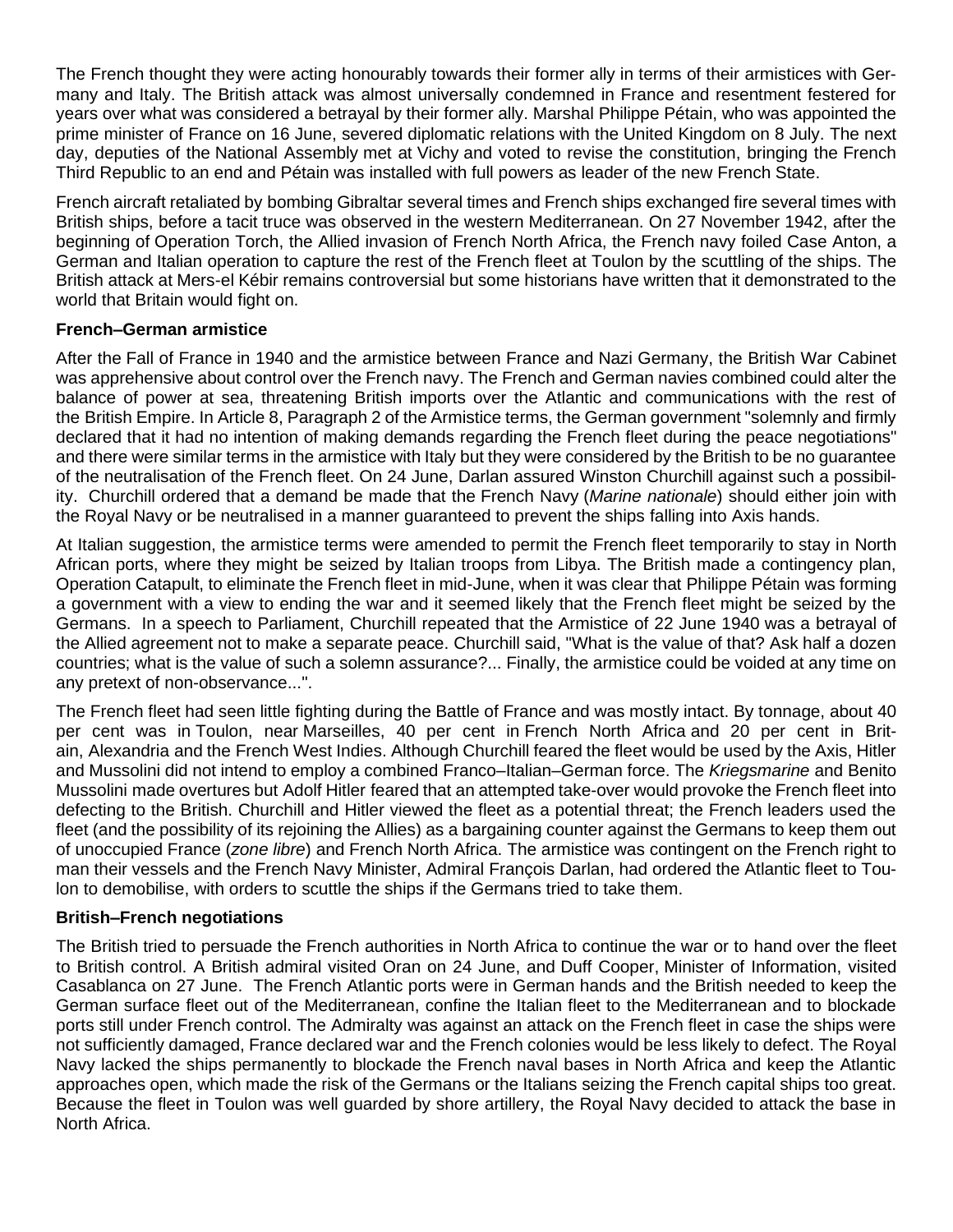The French thought they were acting honourably towards their former ally in terms of their [armistices](https://en.wikipedia.org/wiki/Armistice_of_22_June_1940) with Germany and Italy. The British attack was almost universally condemned in France and resentment festered for years over what was considered a betrayal by their former ally. Marshal [Philippe Pétain,](https://en.wikipedia.org/wiki/Philippe_P%C3%A9tain) who was appointed the prime minister of France on 16 June, [severed diplomatic relations](https://en.wikipedia.org/wiki/Foreign_relations_of_Vichy_France) with the [United Kingdom](https://en.wikipedia.org/wiki/United_Kingdom) on 8 July. The next day, deputies of the [National Assembly](https://en.wikipedia.org/wiki/National_Assembly_(France)) met at [Vichy](https://en.wikipedia.org/wiki/Vichy) and voted to revise the constitution, bringing the [French](https://en.wikipedia.org/wiki/French_Third_Republic)  [Third Republic](https://en.wikipedia.org/wiki/French_Third_Republic) to an end and Pétain was installed with full powers as leader of the new [French State.](https://en.wikipedia.org/wiki/Vichy_France)

French aircraft retaliated by [bombing Gibraltar](https://en.wikipedia.org/wiki/Military_history_of_Gibraltar_during_World_War_II#Vichy_French_attacks:_1940) several times and French ships exchanged fire several times with British ships, before a [tacit](https://en.wiktionary.org/wiki/tacit) truce was observed in the western Mediterranean. On 27 November 1942, after the beginning of [Operation Torch,](https://en.wikipedia.org/wiki/Operation_Torch) the Allied invasion of French North Africa, the French navy foiled [Case Anton,](https://en.wikipedia.org/wiki/Case_Anton) a German and Italian operation to capture the rest of the French fleet at Toulon by the [scuttling](https://en.wikipedia.org/wiki/Scuttling_of_the_French_fleet_in_Toulon) of the ships. The British attack at Mers-el Kébir remains controversial but some historians have written that it demonstrated to the world that Britain would fight on.

#### **French–German armistice**

After the [Fall of France](https://en.wikipedia.org/wiki/Fall_of_France) in 1940 and the armistice between France and [Nazi Germany,](https://en.wikipedia.org/wiki/Nazi_Germany) the British War Cabinet was apprehensive about control over the French navy. The French and German navies combined could alter the balance of power at sea, threatening British imports over the Atlantic and communications with the rest of the [British Empire.](https://en.wikipedia.org/wiki/British_Empire) In Article 8, Paragraph 2 of the Armistice terms, the German government "solemnly and firmly declared that it had no intention of making demands regarding the French fleet during the peace negotiations" and there were similar terms in the armistice with Italy but they were considered by the British to be no guarantee of the neutralisation of the French fleet. On 24 June, Darlan assured [Winston Churchill](https://en.wikipedia.org/wiki/Winston_Churchill) against such a possibility. Churchill ordered that a demand be made that the [French Navy](https://en.wikipedia.org/wiki/French_Navy) (*Marine nationale*) should either join with the [Royal Navy](https://en.wikipedia.org/wiki/Royal_Navy) or be neutralised in a manner guaranteed to prevent the ships falling into Axis hands.

At Italian suggestion, the armistice terms were amended to permit the French fleet temporarily to stay in North African ports, where they might be seized by Italian troops from Libya. The British made a contingency plan, Operation Catapult, to eliminate the French fleet in mid-June, when it was clear that [Philippe Pétain](https://en.wikipedia.org/wiki/Philippe_P%C3%A9tain) was forming a government with a view to ending the war and it seemed likely that the French fleet might be seized by the Germans. In a speech to Parliament, Churchill repeated that the [Armistice of 22 June 1940](https://en.wikipedia.org/wiki/Armistice_of_22_June_1940) was a betrayal of the Allied agreement not to make a separate peace. Churchill said, "What is the value of that? Ask half a dozen countries; what is the value of such a solemn assurance?... Finally, the armistice could be voided at any time on any pretext of non-observance...".

The French fleet had seen little fighting during the Battle of France and was mostly intact. By tonnage, about 40 per cent was in [Toulon,](https://en.wikipedia.org/wiki/Toulon) near [Marseilles,](https://en.wikipedia.org/wiki/Marseilles) 40 per cent in [French North Africa](https://en.wikipedia.org/wiki/French_North_Africa) and 20 per cent in Britain, [Alexandria](https://en.wikipedia.org/wiki/Alexandria) and the [French West Indies.](https://en.wikipedia.org/wiki/French_West_Indies) Although Churchill feared the fleet would be used by the Axis, Hitler and Mussolini did not intend to employ a combined Franco–Italian–German force. The *Kriegsmarine* and [Benito](https://en.wikipedia.org/wiki/Benito_Mussolini)  [Mussolini](https://en.wikipedia.org/wiki/Benito_Mussolini) made overtures but [Adolf Hitler](https://en.wikipedia.org/wiki/Adolf_Hitler) feared that an attempted take-over would provoke the French fleet into defecting to the British. Churchill and Hitler viewed the fleet as a potential threat; the French leaders used the fleet (and the possibility of its rejoining the Allies) as a bargaining counter against the Germans to keep them out of unoccupied France (*[zone libre](https://en.wikipedia.org/wiki/Zone_libre)*) and French North Africa. The armistice was contingent on the French right to man their vessels and the French Navy Minister, Admiral [François Darlan,](https://en.wikipedia.org/wiki/Fran%C3%A7ois_Darlan) had ordered the Atlantic fleet to Toulon to demobilise, with orders to [scuttle](https://en.wikipedia.org/wiki/Scuttling) the ships if the Germans tried to take them.

#### **British–French negotiations**

The British tried to persuade the French authorities in North Africa to continue the war or to hand over the fleet to British control. A British admiral visited Oran on 24 June, and [Duff Cooper,](https://en.wikipedia.org/wiki/Duff_Cooper) [Minister of Information,](https://en.wikipedia.org/wiki/Minister_of_Information) visited Casablanca on 27 June. The French Atlantic ports were in German hands and the British needed to keep the German surface fleet out of the Mediterranean, confine the Italian fleet to the Mediterranean and to blockade ports still under French control. The Admiralty was against an attack on the French fleet in case the ships were not sufficiently damaged, France declared war and the French colonies would be less likely to defect. The Royal Navy lacked the ships permanently to blockade the French naval bases in North Africa and keep the Atlantic approaches open, which made the risk of the Germans or the Italians seizing the French capital ships too great. Because the fleet in Toulon was well guarded by shore artillery, the Royal Navy decided to attack the base in North Africa.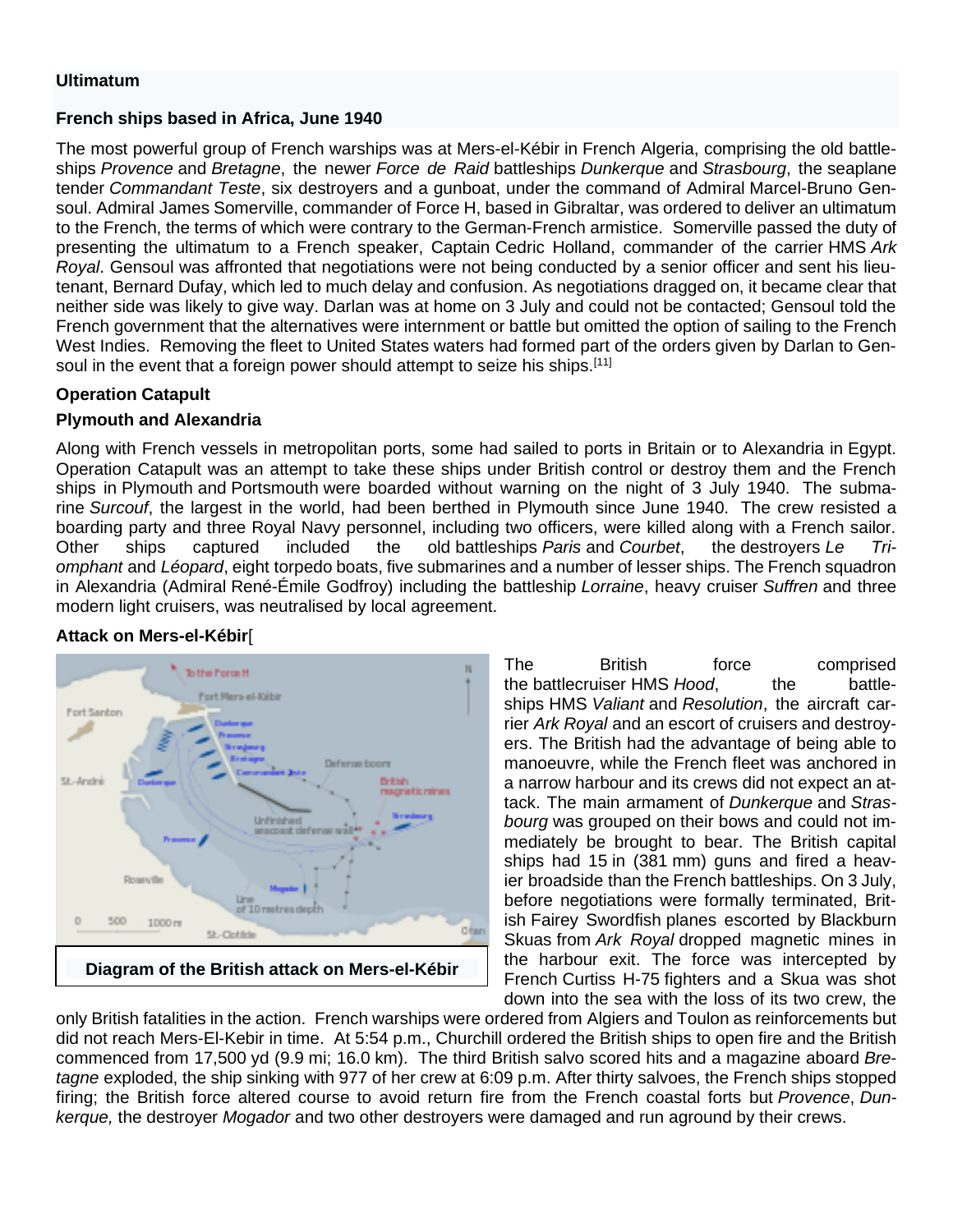#### **Ultimatum**

#### **French ships based in Africa, June 1940**

The most powerful group of French warships was at [Mers-el-Kébir](https://en.wikipedia.org/wiki/Mers-el-K%C3%A9bir) in [French Algeria,](https://en.wikipedia.org/wiki/French_Algeria) comprising the old battleships *[Provence](https://en.wikipedia.org/wiki/French_battleship_Provence)* and *[Bretagne](https://en.wikipedia.org/wiki/French_battleship_Bretagne)*, the newer *[Force de Raid](https://en.wikipedia.org/wiki/Force_de_Raid)* battleships *[Dunkerque](https://en.wikipedia.org/wiki/French_battleship_Dunkerque)* and *[Strasbourg](https://en.wikipedia.org/wiki/French_battleship_Strasbourg)*, the [seaplane](https://en.wikipedia.org/wiki/Seaplane_tender)  [tender](https://en.wikipedia.org/wiki/Seaplane_tender) *[Commandant Teste](https://en.wikipedia.org/wiki/French_seaplane_carrier_Commandant_Teste)*, six destroyers and a gunboat, under the command of Admiral [Marcel-Bruno Gen](https://en.wikipedia.org/wiki/Marcel-Bruno_Gensoul)[soul.](https://en.wikipedia.org/wiki/Marcel-Bruno_Gensoul) Admiral [James Somerville,](https://en.wikipedia.org/wiki/James_Somerville_(admiral)) commander of [Force H,](https://en.wikipedia.org/wiki/Force_H) based in [Gibraltar,](https://en.wikipedia.org/wiki/Gibraltar) was ordered to deliver an ultimatum to the French, the terms of which were contrary to the German-French armistice. Somerville passed the duty of presenting the ultimatum to a French speaker, Captain [Cedric Holland,](https://en.wikipedia.org/wiki/Cedric_Holland) commander of the carrier [HMS](https://en.wikipedia.org/wiki/HMS_Ark_Royal_(91)) *Ark [Royal](https://en.wikipedia.org/wiki/HMS_Ark_Royal_(91))*. Gensoul was affronted that negotiations were not being conducted by a senior officer and sent his lieutenant, Bernard Dufay, which led to much delay and confusion. As negotiations dragged on, it became clear that neither side was likely to give way. Darlan was at home on 3 July and could not be contacted; Gensoul told the French government that the alternatives were internment or battle but omitted the option of sailing to the French West Indies. Removing the fleet to United States waters had formed part of the orders given by Darlan to Gen-soul in the event that a foreign power should attempt to seize his ships.<sup>[\[11\]](https://en.wikipedia.org/wiki/Attack_on_Mers-el-K%C3%A9bir#cite_note-FOOTNOTEButler1971224%E2%80%93225-12)</sup>

#### **Operation Catapult**

#### **Plymouth and Alexandria**

Along with French vessels in metropolitan ports, some had sailed to ports in Britain or to Alexandria in [Egypt.](https://en.wikipedia.org/wiki/Kingdom_of_Egypt) Operation Catapult was an attempt to take these ships under British control or destroy them and the French ships in [Plymouth](https://en.wikipedia.org/wiki/Plymouth) and [Portsmouth](https://en.wikipedia.org/wiki/Portsmouth) were boarded without warning on the night of 3 July 1940. The submarine *[Surcouf](https://en.wikipedia.org/wiki/French_submarine_Surcouf)*, the largest in the world, had been berthed in Plymouth since June 1940. The crew resisted a boarding party and three Royal Navy personnel, including two officers, were killed along with a French sailor. Other ships captured included the old [battleships](https://en.wikipedia.org/wiki/Battleship) *[Paris](https://en.wikipedia.org/wiki/French_battleship_Paris)* and *[Courbet](https://en.wikipedia.org/wiki/French_battleship_Courbet_(1911))*, the [destroyers](https://en.wikipedia.org/wiki/Destroyer) *[Le Tri](https://en.wikipedia.org/wiki/French_destroyer_Le_Triomphant)[omphant](https://en.wikipedia.org/wiki/French_destroyer_Le_Triomphant)* and *[Léopard](https://en.wikipedia.org/wiki/French_destroyer_L%C3%A9opard)*, eight [torpedo boats,](https://en.wikipedia.org/wiki/Torpedo_boat) five submarines and a number of lesser ships. The French squadron in Alexandria (Admiral [René-Émile Godfroy\)](https://en.wikipedia.org/wiki/Ren%C3%A9-%C3%89mile_Godfroy) including the battleship *Lorraine*, heavy cruiser *Suffren* and three modern light cruisers, was neutralised by local agreement.



#### **Attack on Mers-el-Kébir**[

The British force comprised the [battlecruiser](https://en.wikipedia.org/wiki/Battlecruiser) HMS *[Hood](https://en.wikipedia.org/wiki/HMS_Hood_(51))*, the battleships HMS *[Valiant](https://en.wikipedia.org/wiki/HMS_Valiant_(1914))* and *[Resolution](https://en.wikipedia.org/wiki/HMS_Resolution_(09))*, the aircraft carrier *Ark Royal* and an escort of cruisers and destroyers. The British had the advantage of being able to manoeuvre, while the French fleet was anchored in a narrow harbour and its crews did not expect an attack. The main armament of *Dunkerque* and *Strasbourg* was grouped on their bows and could not immediately be brought to bear. The British capital ships had 15 in (381 mm) guns and fired a heavier [broadside](https://en.wikipedia.org/wiki/Broadside) than the French battleships. On 3 July, before negotiations were formally terminated, British [Fairey Swordfish](https://en.wikipedia.org/wiki/Fairey_Swordfish) planes escorted by [Blackburn](https://en.wikipedia.org/wiki/Blackburn_Skua)  [Skuas](https://en.wikipedia.org/wiki/Blackburn_Skua) from *Ark Royal* dropped magnetic mines in the harbour exit. The force was intercepted by French [Curtiss H-75](https://en.wikipedia.org/wiki/Curtiss_H-75) fighters and a Skua was shot down into the sea with the loss of its two crew, the

only British fatalities in the action. French warships were ordered from [Algiers](https://en.wikipedia.org/wiki/Algiers) and Toulon as reinforcements but did not reach Mers-El-Kebir in time. At 5:54 p.m., Churchill ordered the British ships to open fire and the British commenced from 17,500 yd (9.9 mi; 16.0 km). The third British salvo scored hits and a magazine aboard *Bretagne* exploded, the ship sinking with 977 of her crew at 6:09 p.m. After thirty salvoes, the French ships stopped firing; the British force altered course to avoid return fire from the French coastal forts but *Provence*, *Dunkerque,* the destroyer *[Mogador](https://en.wikipedia.org/wiki/French_destroyer_Mogador)* and two other destroyers were damaged and run aground by their crews.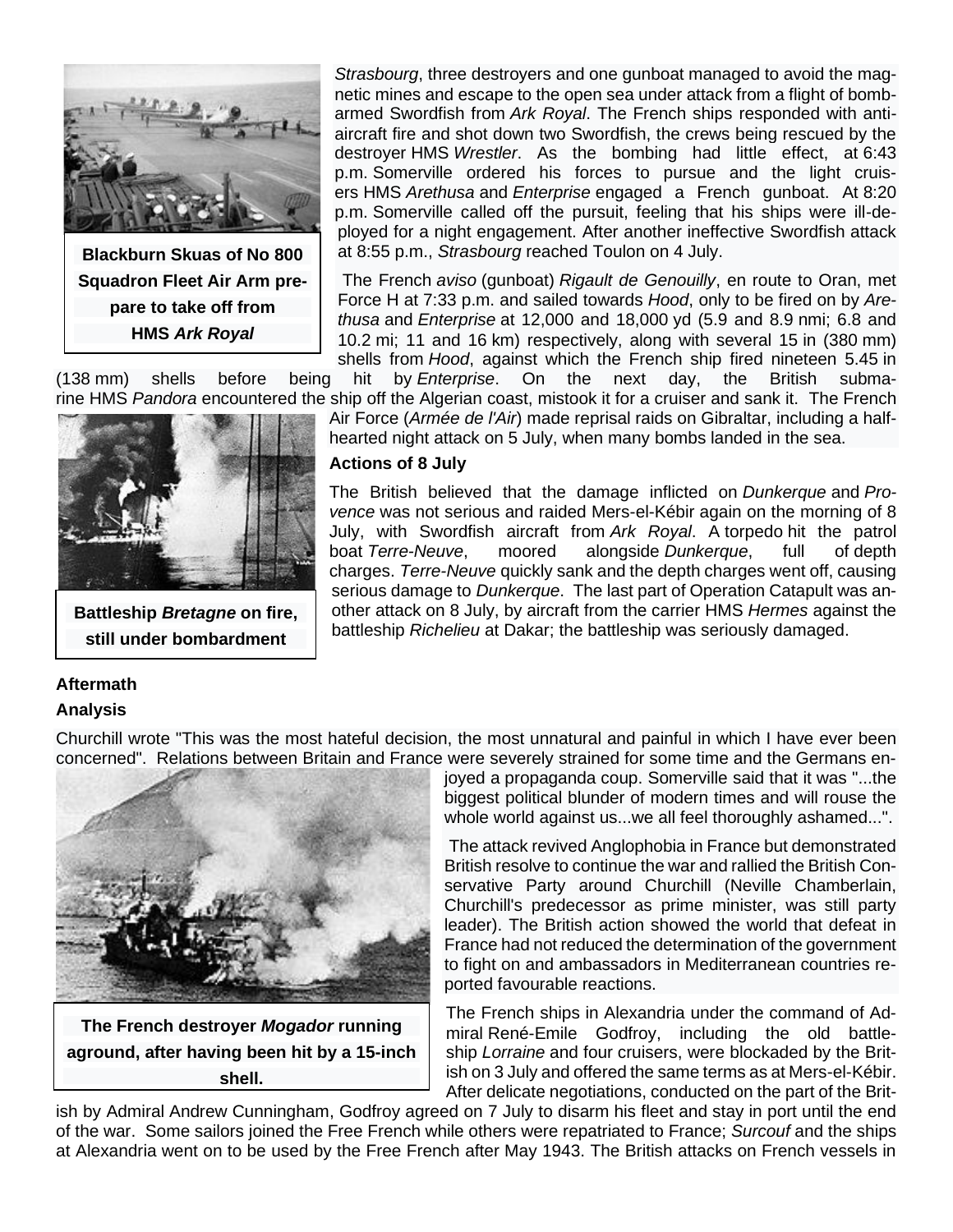

**[Blackburn Skuas](https://en.wikipedia.org/wiki/Blackburn_Skuas) of [No 800](https://en.wikipedia.org/wiki/800_Naval_Air_Squadron)  [Squadron Fleet Air Arm](https://en.wikipedia.org/wiki/800_Naval_Air_Squadron) prepare to take off from HMS** *Ark Royal*

*Strasbourg*, three destroyers and one gunboat managed to avoid the magnetic mines and escape to the open sea under attack from a flight of bombarmed Swordfish from *Ark Royal*. The French ships responded with antiaircraft fire and shot down two Swordfish, the crews being rescued by the destroyer HMS *[Wrestler](https://en.wikipedia.org/wiki/HMS_Wrestler_(D35))*. As the bombing had little effect, at 6:43 p.m. Somerville ordered his forces to pursue and the light cruisers HMS *[Arethusa](https://en.wikipedia.org/wiki/HMS_Arethusa_(26))* and *[Enterprise](https://en.wikipedia.org/wiki/HMS_Enterprise_(D52))* engaged a French gunboat. At 8:20 p.m. Somerville called off the pursuit, feeling that his ships were ill-deployed for a night engagement. After another ineffective Swordfish attack at 8:55 p.m., *Strasbourg* reached Toulon on 4 July.

The French *[aviso](https://en.wikipedia.org/wiki/Aviso)* [\(gunboat\)](https://en.wikipedia.org/wiki/Gunboat) *[Rigault de Genouilly](https://en.wikipedia.org/wiki/French_aviso_Rigault_de_Genouilly)*, en route to Oran, met Force H at 7:33 p.m. and sailed towards *Hood*, only to be fired on by *Arethusa* and *Enterprise* at 12,000 and 18,000 yd (5.9 and 8.9 nmi; 6.8 and 10.2 mi; 11 and 16 km) respectively, along with several 15 in (380 mm) shells from *Hood*, against which the French ship fired nineteen 5.45 in

(138 mm) shells before being hit by *Enterprise*. On the next day, the British submarine HMS *[Pandora](https://en.wikipedia.org/wiki/HMS_Pandora_(N42))* encountered the ship off the Algerian coast, mistook it for a cruiser and sank it. The [French](https://en.wikipedia.org/wiki/French_Air_Force) 



**Battleship** *[Bretagne](https://en.wikipedia.org/wiki/French_battleship_Bretagne)* **on fire, still under bombardment**

[Air Force](https://en.wikipedia.org/wiki/French_Air_Force) (*Armée de l'Air*) made reprisal raids on Gibraltar, including a halfhearted night attack on 5 July, when many bombs landed in the sea.

#### **Actions of 8 July**

The British believed that the damage inflicted on *Dunkerque* and *Provence* was not serious and raided Mers-el-Kébir again on the morning of 8 July, with Swordfish aircraft from *Ark Royal*. A [torpedo](https://en.wikipedia.org/wiki/Torpedo) hit the patrol boat *Terre-Neuve*, moored alongside *Dunkerque*, full of [depth](https://en.wikipedia.org/wiki/Depth_charge)  [charges.](https://en.wikipedia.org/wiki/Depth_charge) *Terre-Neuve* quickly sank and the depth charges went off, causing serious damage to *Dunkerque*. The last part of Operation Catapult was another attack on 8 July, by aircraft from the carrier HMS *[Hermes](https://en.wikipedia.org/wiki/HMS_Hermes_(95))* against the battleship *[Richelieu](https://en.wikipedia.org/wiki/French_battleship_Richelieu#British_attack_on_8_July_1940)* at [Dakar;](https://en.wikipedia.org/wiki/Dakar) the battleship was seriously damaged.

# **Aftermath**

**Analysis**

Churchill wrote "This was the most hateful decision, the most unnatural and painful in which I have ever been concerned". Relations between Britain and France were severely strained for some time and the Germans en-



**aground, after having been hit by a 15-inch shell.**

joyed a [propaganda](https://en.wikipedia.org/wiki/Propaganda) coup. Somerville said that it was "...the biggest political blunder of modern times and will rouse the whole world against us...we all feel thoroughly ashamed...".

The attack revived Anglophobia in France but demonstrated British resolve to continue the war and rallied the British Conservative Party around Churchill [\(Neville Chamberlain,](https://en.wikipedia.org/wiki/Neville_Chamberlain) Churchill's predecessor as prime minister, was still party leader). The British action showed the world that defeat in France had not reduced the determination of the government to fight on and ambassadors in Mediterranean countries reported favourable reactions.

The French ships in Alexandria under the command of Admiral [René-Emile Godfroy,](https://en.wikipedia.org/wiki/Ren%C3%A9-Emile_Godfroy) including the old battleship *[Lorraine](https://en.wikipedia.org/wiki/French_battleship_Lorraine)* and four [cruisers,](https://en.wikipedia.org/wiki/Cruiser) were blockaded by the British on 3 July and offered the same terms as at Mers-el-Kébir. After delicate negotiations, conducted on the part of the Brit-

ish by Admiral [Andrew Cunningham,](https://en.wikipedia.org/wiki/Andrew_Cunningham,_1st_Viscount_Cunningham_of_Hyndhope) Godfroy agreed on 7 July to disarm his fleet and stay in port until the end of the war. Some sailors joined the Free French while others were repatriated to France; *Surcouf* and the ships at Alexandria went on to be used by the Free French after May 1943. The British attacks on French vessels in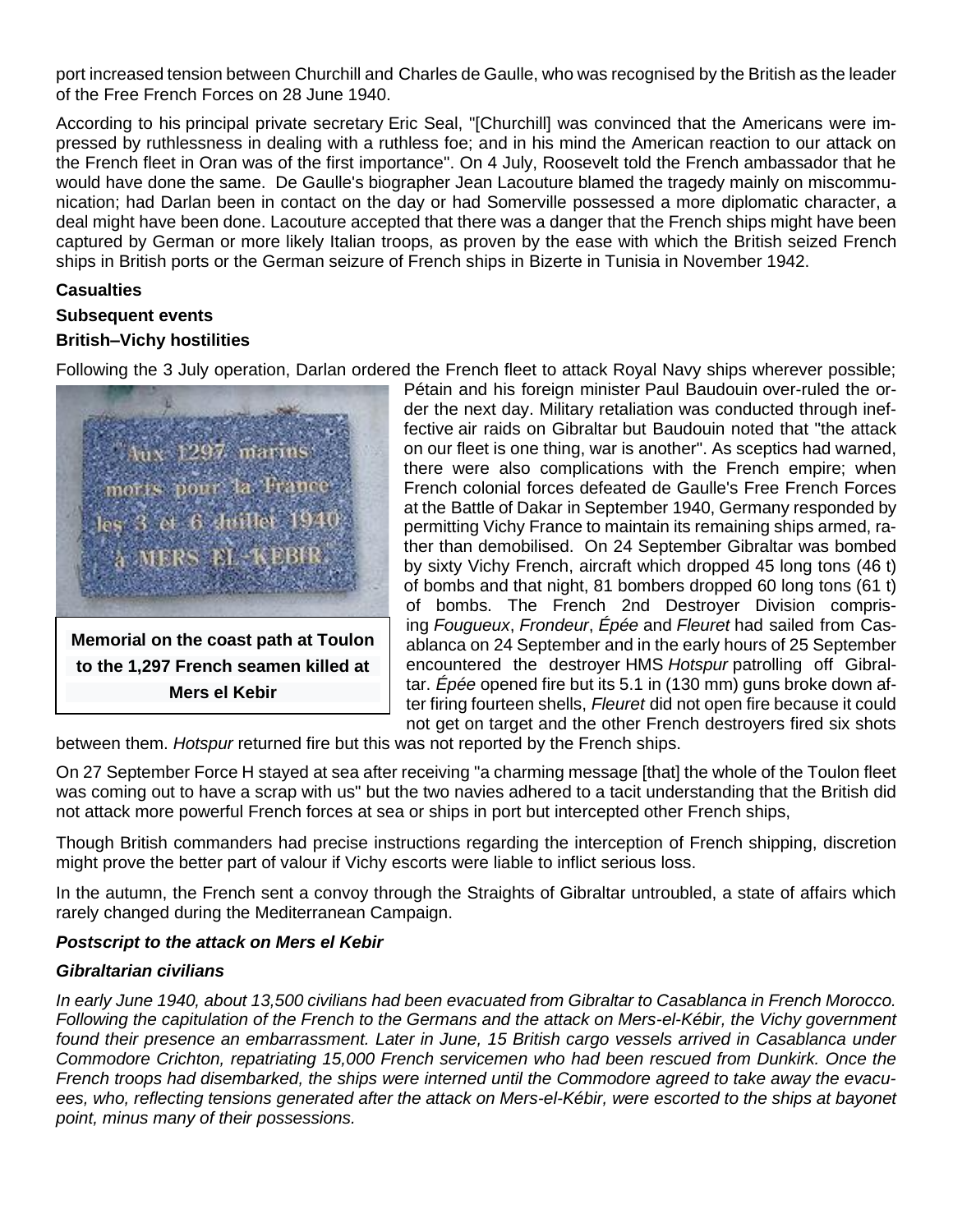port increased tension between Churchill and [Charles de Gaulle,](https://en.wikipedia.org/wiki/Charles_de_Gaulle) who was recognised by the British as the leader of the Free French Forces on 28 June 1940.

According to his [principal private secretary](https://en.wikipedia.org/wiki/Principal_Private_Secretary_to_the_Prime_Minister) Eric Seal, "[Churchill] was convinced that the Americans were impressed by ruthlessness in dealing with a ruthless foe; and in his mind the American reaction to our attack on the French fleet in Oran was of the first importance". On 4 July, Roosevelt told the French ambassador that he would have done the same. De Gaulle's biographer [Jean Lacouture](https://en.wikipedia.org/wiki/Jean_Lacouture) blamed the tragedy mainly on miscommunication; had Darlan been in contact on the day or had Somerville possessed a more diplomatic character, a deal might have been done. Lacouture accepted that there was a danger that the French ships might have been captured by German or more likely Italian troops, as proven by the ease with which the British seized French ships in British ports or the German seizure of French ships in [Bizerte](https://en.wikipedia.org/wiki/Bizerte) in Tunisia in November 1942.

#### **Casualties**

#### **Subsequent events**

#### **British–Vichy hostilities**

Following the 3 July operation, Darlan ordered the French fleet to attack Royal Navy ships wherever possible;



Pétain and his foreign minister [Paul Baudouin](https://en.wikipedia.org/wiki/Paul_Baudouin) over-ruled the order the next day. Military retaliation was conducted through ineffective [air raids on Gibraltar](https://en.wikipedia.org/wiki/Military_history_of_Gibraltar_during_World_War_II#Vichy_French_attacks:_1940) but Baudouin noted that "the attack on our fleet is one thing, war is another". As sceptics had warned, there were also complications with the French empire; when French colonial forces defeated de Gaulle's Free French Forces at the [Battle of Dakar](https://en.wikipedia.org/wiki/Battle_of_Dakar) in September 1940, Germany responded by permitting Vichy France to maintain its remaining ships armed, rather than demobilised. On 24 September Gibraltar was bombed by sixty Vichy French, aircraft which dropped 45 long tons (46 t) of bombs and that night, 81 bombers dropped 60 long tons (61 t) of bombs. The French 2nd Destroyer Division comprising *[Fougueux](https://en.wikipedia.org/wiki/French_destroyer_Fougueux)*, *[Frondeur](https://en.wikipedia.org/wiki/French_destroyer_Frondeur)*, *[Épée](https://en.wikipedia.org/wiki/French_destroyer_%C3%89p%C3%A9e_(1938))* and *[Fleuret](https://en.wikipedia.org/wiki/French_destroyer_Fleuret_(1938))* had sailed from Casablanca on 24 September and in the early hours of 25 September encountered the destroyer HMS *[Hotspur](https://en.wikipedia.org/wiki/HMS_Hotspur_(H01))* patrolling off Gibraltar. *Épée* opened fire but its 5.1 in (130 mm) guns broke down after firing fourteen shells, *Fleuret* did not open fire because it could not get on target and the other French destroyers fired six shots

between them. *Hotspur* returned fire but this was not reported by the French ships.

On 27 September Force H stayed at sea after receiving "a charming message [that] the whole of the Toulon fleet was coming out to have a scrap with us" but the two navies adhered to a tacit understanding that the British did not attack more powerful French forces at sea or ships in port but intercepted other French ships,

Though British commanders had precise instructions regarding the interception of French shipping, discretion might prove the better part of valour if Vichy escorts were liable to inflict serious loss.

In the autumn, the French sent a convoy through the Straights of Gibraltar untroubled, a state of affairs which rarely changed during the Mediterranean Campaign.

#### *Postscript to the attack on Mers el Kebir*

#### *Gibraltarian civilians*

*In early June 1940, about 13,500 civilians had been evacuated from Gibraltar to Casablanca in French Morocco. Following the capitulation of the French to the Germans and the attack on Mers-el-Kébir, the Vichy government found their presence an embarrassment. Later in June, 15 British cargo vessels arrived in Casablanca under Commodore Crichton, repatriating 15,000 French servicemen who had been rescued from Dunkirk. Once the French troops had disembarked, the ships were interned until the Commodore agreed to take away the evacu*ees, who, reflecting tensions generated after the attack on Mers-el-Kébir, were escorted to the ships at bayonet *point, minus many of their possessions.*